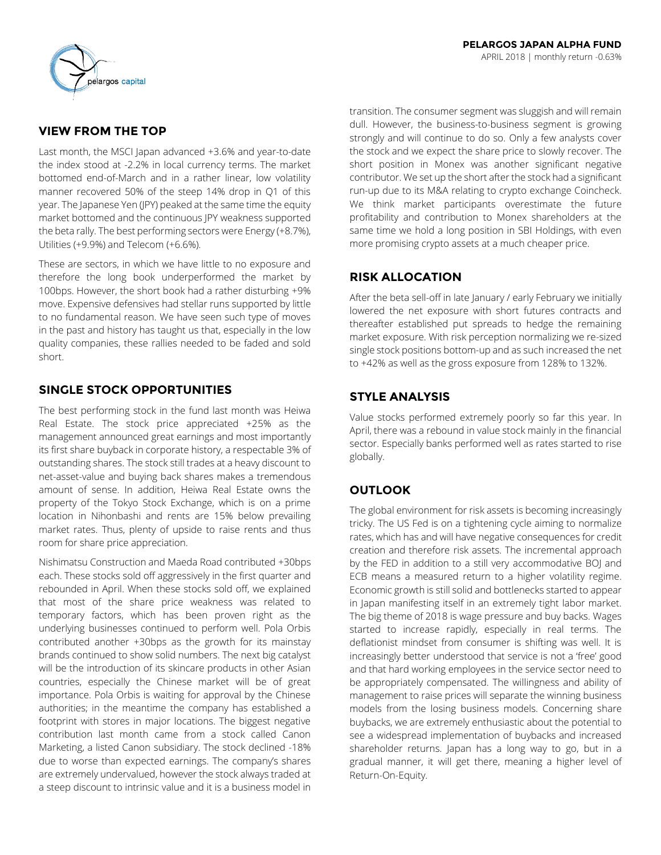

# **VIEW FROM THE TOP**

Last month, the MSCI Japan advanced +3.6% and year-to-date the index stood at -2.2% in local currency terms. The market bottomed end-of-March and in a rather linear, low volatility manner recovered 50% of the steep 14% drop in Q1 of this year. The Japanese Yen (JPY) peaked at the same time the equity market bottomed and the continuous JPY weakness supported the beta rally. The best performing sectors were Energy (+8.7%), Utilities (+9.9%) and Telecom (+6.6%).

These are sectors, in which we have little to no exposure and therefore the long book underperformed the market by 100bps. However, the short book had a rather disturbing +9% move. Expensive defensives had stellar runs supported by little to no fundamental reason. We have seen such type of moves in the past and history has taught us that, especially in the low quality companies, these rallies needed to be faded and sold short.

# **SINGLE STOCK OPPORTUNITIES**

The best performing stock in the fund last month was Heiwa Real Estate. The stock price appreciated +25% as the management announced great earnings and most importantly its first share buyback in corporate history, a respectable 3% of outstanding shares. The stock still trades at a heavy discount to net-asset-value and buying back shares makes a tremendous amount of sense. In addition, Heiwa Real Estate owns the property of the Tokyo Stock Exchange, which is on a prime location in Nihonbashi and rents are 15% below prevailing market rates. Thus, plenty of upside to raise rents and thus room for share price appreciation.

Nishimatsu Construction and Maeda Road contributed +30bps each. These stocks sold off aggressively in the first quarter and rebounded in April. When these stocks sold off, we explained that most of the share price weakness was related to temporary factors, which has been proven right as the underlying businesses continued to perform well. Pola Orbis contributed another +30bps as the growth for its mainstay brands continued to show solid numbers. The next big catalyst will be the introduction of its skincare products in other Asian countries, especially the Chinese market will be of great importance. Pola Orbis is waiting for approval by the Chinese authorities; in the meantime the company has established a footprint with stores in major locations. The biggest negative contribution last month came from a stock called Canon Marketing, a listed Canon subsidiary. The stock declined -18% due to worse than expected earnings. The company's shares are extremely undervalued, however the stock always traded at a steep discount to intrinsic value and it is a business model in transition. The consumer segment was sluggish and will remain dull. However, the business-to-business segment is growing strongly and will continue to do so. Only a few analysts cover the stock and we expect the share price to slowly recover. The short position in Monex was another significant negative contributor. We set up the short after the stock had a significant run-up due to its M&A relating to crypto exchange Coincheck. We think market participants overestimate the future profitability and contribution to Monex shareholders at the same time we hold a long position in SBI Holdings, with even more promising crypto assets at a much cheaper price.

# **RISK ALLOCATION**

After the beta sell-off in late January / early February we initially lowered the net exposure with short futures contracts and thereafter established put spreads to hedge the remaining market exposure. With risk perception normalizing we re-sized single stock positions bottom-up and as such increased the net to +42% as well as the gross exposure from 128% to 132%.

## **STYLE ANALYSIS**

Value stocks performed extremely poorly so far this year. In April, there was a rebound in value stock mainly in the financial sector. Especially banks performed well as rates started to rise globally.

# **OUTLOOK**

The global environment for risk assets is becoming increasingly tricky. The US Fed is on a tightening cycle aiming to normalize rates, which has and will have negative consequences for credit creation and therefore risk assets. The incremental approach by the FED in addition to a still very accommodative BOJ and ECB means a measured return to a higher volatility regime. Economic growth is still solid and bottlenecks started to appear in Japan manifesting itself in an extremely tight labor market. The big theme of 2018 is wage pressure and buy backs. Wages started to increase rapidly, especially in real terms. The deflationist mindset from consumer is shifting was well. It is increasingly better understood that service is not a 'free' good and that hard working employees in the service sector need to be appropriately compensated. The willingness and ability of management to raise prices will separate the winning business models from the losing business models. Concerning share buybacks, we are extremely enthusiastic about the potential to see a widespread implementation of buybacks and increased shareholder returns. Japan has a long way to go, but in a gradual manner, it will get there, meaning a higher level of Return-On-Equity.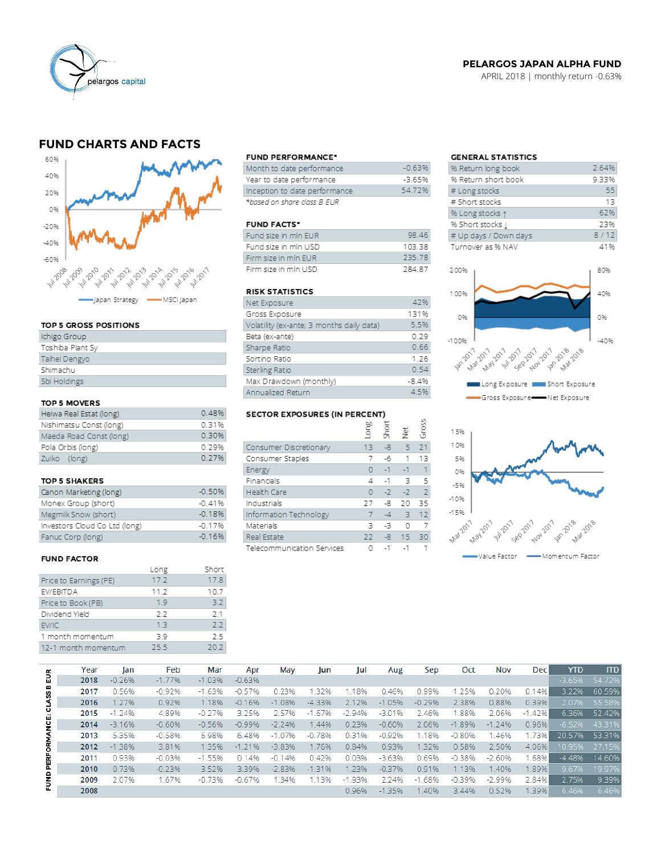

## **PELARGOS JAPAN ALPHA FUND**

APRIL 2018 | monthly return -0.63%

# **FUND CHARTS AND FACTS**



#### TOP 5 GROSS POSITIONS

| Ichigo Group     |
|------------------|
| Toshiba Plant Sy |
| Taihei Dengyo    |
| Shimachu         |
| Sbi Holdings     |
|                  |

#### TOP 5 MOVERS

| Heiwa Real Estat (long) | 0.48% |
|-------------------------|-------|
| Nishimatsu Const (long) | 0.31% |
| Maeda Road Const (long) | 0.30% |
| Pola Orbis (long)       | 0.29% |
| Zuiko (long)            | 0.27% |

#### TOP 5 SHAKERS

| Canon Marketing (long)        | $-0.50%$ |
|-------------------------------|----------|
| Monex Group (short)           | $-0.41%$ |
| Megmilk Snow (short)          | $-0.18%$ |
| Investors Cloud Co Ltd (long) | $-0.17%$ |
| Fanuc Corp (long)             | $-0.16%$ |

#### **FUND FACTOR**

|                        | Long | Short |
|------------------------|------|-------|
| Price to Earnings (PE) | 17.2 | 17.8  |
| EV/EBITDA              | 11.2 | 10.7  |
| Price to Book (PB)     | 1.9  | 3.2   |
| Dividend Yield         | 2.2  | 2.1   |
| EV/IC                  | 13   | フフ    |
| 1 month momentum       | 3 G  | 25    |
| 12-1 month momentum    | 25.5 | 20.2  |

#### **FUND PERFORMANCE\***

| Month to date performance     | $-0.63%$ |
|-------------------------------|----------|
| Year to date performance      | $-3.65%$ |
| Inception to date performance | 54.72%   |
| *based on share class B EUR   |          |

#### **FUND FACTS\***

| Fund size in min EUR | 98.46        |
|----------------------|--------------|
| Fund size in mln USD | 103.38       |
| Firm size in min EUR | 235.78       |
| Firm size in mln USD | <b>78487</b> |

### **RISK STATISTICS**

| Net Exposure                              | 47%     |
|-------------------------------------------|---------|
| Gross Exposure                            | 131%    |
| Volatility (ex-ante; 3 months daily data) | 5.5%    |
| Beta (ex-ante)                            | 0.29    |
| Sharpe Ratio                              | 0.66    |
| Sortino Ratio                             | 1.26    |
| Sterling Ratio                            | 0.54    |
| Max Drawdown (monthly)                    | $-8.4%$ |
| Annualized Return                         | 4.5%    |

# SECTOR EXPOSURES (IN PERCENT)

|                            | ξ  | ğ    | $\frac{\ddot{v}}{Z}$ | ğ              |
|----------------------------|----|------|----------------------|----------------|
| Consumer Discretionary     | 13 | -8   | $\sqrt{5}$           | 21             |
| Consumer Staples           | 7  | -6   | 1                    | 13             |
| Energy                     | 0  | $-1$ | $-1$                 | 1              |
| Financials                 | 4  | $-1$ | 3                    | 5              |
| Health Care                | O  | $-2$ | $-2$                 | $\overline{2}$ |
| Industrials                | 77 | -8   | 20                   | 35             |
| Information Technology     |    | $-4$ | 3                    | 12             |
| Materials                  | 3  | -3   | O                    |                |
| Real Estate                | 22 | $-8$ | 15                   | 30             |
| Telecommunication Services |    | $-1$ | $-1$                 |                |

 $\overline{2}$ 

## **GENERAL STATISTICS**

| % Return long book    | 2.64% |
|-----------------------|-------|
| % Return short book   | 9.33% |
| # Long stocks         | 55    |
| # Short stocks        | 13    |
| % Long stocks 1       | 62%   |
| % Short stocks [      | 23%   |
| # Up days / Down days | 8/12  |
| Turnover as % NAV     | 41%   |
|                       |       |





|                | Year | lan      | Feb      | Mar      | Apr      | May      | Jun      | Jul      | Aug      | Sep        | Oct      | <b>Nov</b> | <b>Dec</b> | <b>YTD</b> | <b>ITD</b> |
|----------------|------|----------|----------|----------|----------|----------|----------|----------|----------|------------|----------|------------|------------|------------|------------|
| 틦              | 2018 | $-0.26%$ | $-1.77%$ | $-1.03%$ | $-0.63%$ |          |          |          |          |            |          |            |            | $-3.65%$   | 54.72%     |
|                | 2017 | 0.56%    | $-0.92%$ | $-1.63%$ | $-0.57%$ | 0.23%    | 32%      | .18%     | 0.46%    | 0.99%      | 1.25%    | 0.20%      | 0.14%      | 3.22%      | 60.59%     |
| <b>CLASS B</b> | 2016 | 1.27%    | 0.92%    | 1.18%    | $-0.16%$ | $-1.08%$ | $-4.33%$ | 2.12%    | $-1.05%$ | $-0.29%$   | 2.38%    | 0.88%      | 0.39%      | 2.07%      | 55.58%     |
|                | 2015 | $-1.24%$ | 4.89%    | $-0.27%$ | 3.25%    | 2.57%    | $-1.67%$ | $-2.94%$ | $-3.01%$ | 2.46%      | 1.88%    | 2.06%      | $-1.42%$   | 6.36%      | 52.42%     |
| PERFORMANCE:   | 2014 | $-3.16%$ | $-0.60%$ | $-0.56%$ | $-0.99%$ | $-2.24%$ | 1.44%    | 0.23%    | $-0.60%$ | 2.06%      | $-1.89%$ | $-1.24%$   | 0.96%      | $-6.52%$   | 43.31%     |
|                | 2013 | 5.35%    | $-0.58%$ | 6.98%    | 6.48%    | $-1.07%$ | $-0.78%$ | 0.31%    | $-0.92%$ | 1.18%      | $-0.80%$ | 1.46%      | 1.73%      | 20.57%     | 53.31%     |
|                | 2012 | $-1.38%$ | 3.81%    | 1.35%    | $-1.21%$ | $-3.83%$ | 1.76%    | 0.84%    | 0.93%    | 1.32%      | 0.58%    | 2.50%      | 4.06%      | 10.95%     | 27.15%     |
|                | 2011 | 0.93%    | $-0.03%$ | $-1.55%$ | 0.14%    | $-0.14%$ | 0.42%    | 0.03%    | $-3.63%$ | 0.69%      | $-0.38%$ | $-2.60%$   | .68%       | $-4.48%$   | 14.60%     |
|                | 2010 | 0.73%    | $-0.23%$ | 3.52%    | 3.39%    | $-2.83%$ | $-1.31%$ | 1.23%    | $-0.37%$ | 0.91%      | 1.13%    | 1.40%      | 1.89%      | 9.67%      | 19.97%     |
| Ë              | 2009 | 2.07%    | 1.67%    | $-0.73%$ | $-0.67%$ | 1.34%    | 1.13%    | $-1.93%$ | 2.24%    | .68%<br>-1 | $-0.39%$ | $-2.99%$   | 2.84%      | 2.75%      | 9.39%      |
|                | 2008 |          |          |          |          |          |          | 0.96%    | $-1.35%$ | 1.40%      | 3.44%    | 0.52%      | 1.39%      | 6.46%      | 6.46%      |